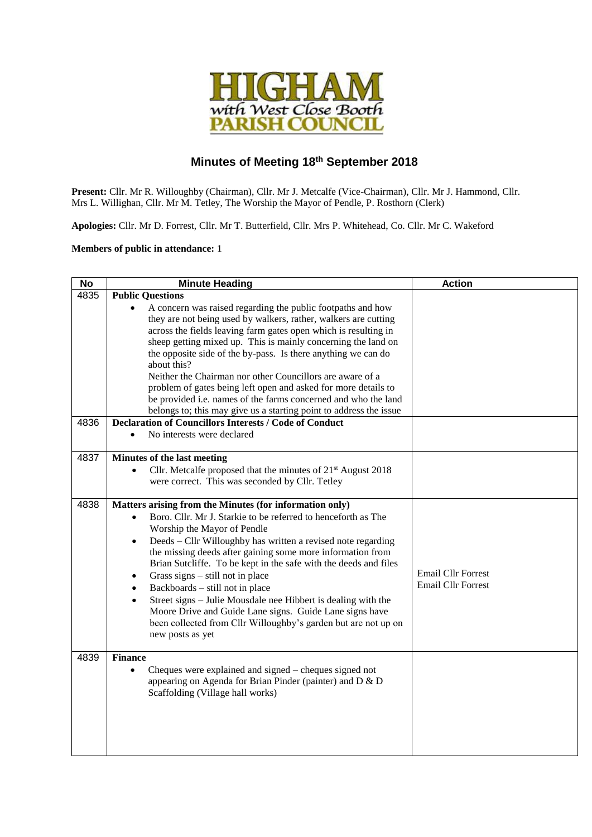

## **Minutes of Meeting 18th September 2018**

**Present:** Cllr. Mr R. Willoughby (Chairman), Cllr. Mr J. Metcalfe (Vice-Chairman), Cllr. Mr J. Hammond, Cllr. Mrs L. Willighan, Cllr. Mr M. Tetley, The Worship the Mayor of Pendle, P. Rosthorn (Clerk)

**Apologies:** Cllr. Mr D. Forrest, Cllr. Mr T. Butterfield, Cllr. Mrs P. Whitehead, Co. Cllr. Mr C. Wakeford

## **Members of public in attendance:** 1

| <b>No</b> | <b>Minute Heading</b>                                                                                                                                                                                                                                                                                                                                                                                                                                                                                                                                                                                                                                                                                    | <b>Action</b>                                          |
|-----------|----------------------------------------------------------------------------------------------------------------------------------------------------------------------------------------------------------------------------------------------------------------------------------------------------------------------------------------------------------------------------------------------------------------------------------------------------------------------------------------------------------------------------------------------------------------------------------------------------------------------------------------------------------------------------------------------------------|--------------------------------------------------------|
| 4835      | <b>Public Questions</b>                                                                                                                                                                                                                                                                                                                                                                                                                                                                                                                                                                                                                                                                                  |                                                        |
|           | A concern was raised regarding the public footpaths and how<br>they are not being used by walkers, rather, walkers are cutting<br>across the fields leaving farm gates open which is resulting in<br>sheep getting mixed up. This is mainly concerning the land on<br>the opposite side of the by-pass. Is there anything we can do<br>about this?<br>Neither the Chairman nor other Councillors are aware of a<br>problem of gates being left open and asked for more details to<br>be provided i.e. names of the farms concerned and who the land<br>belongs to; this may give us a starting point to address the issue                                                                                |                                                        |
| 4836      | <b>Declaration of Councillors Interests / Code of Conduct</b>                                                                                                                                                                                                                                                                                                                                                                                                                                                                                                                                                                                                                                            |                                                        |
|           | No interests were declared                                                                                                                                                                                                                                                                                                                                                                                                                                                                                                                                                                                                                                                                               |                                                        |
| 4837      | Minutes of the last meeting<br>Cllr. Metcalfe proposed that the minutes of 21 <sup>st</sup> August 2018<br>$\bullet$<br>were correct. This was seconded by Cllr. Tetley                                                                                                                                                                                                                                                                                                                                                                                                                                                                                                                                  |                                                        |
| 4838      | Matters arising from the Minutes (for information only)<br>Boro. Cllr. Mr J. Starkie to be referred to henceforth as The<br>Worship the Mayor of Pendle<br>Deeds - Cllr Willoughby has written a revised note regarding<br>$\bullet$<br>the missing deeds after gaining some more information from<br>Brian Sutcliffe. To be kept in the safe with the deeds and files<br>Grass signs $-$ still not in place<br>$\bullet$<br>Backboards - still not in place<br>$\bullet$<br>Street signs – Julie Mousdale nee Hibbert is dealing with the<br>$\bullet$<br>Moore Drive and Guide Lane signs. Guide Lane signs have<br>been collected from Cllr Willoughby's garden but are not up on<br>new posts as yet | <b>Email Cllr Forrest</b><br><b>Email Cllr Forrest</b> |
| 4839      | <b>Finance</b><br>Cheques were explained and signed – cheques signed not<br>$\bullet$<br>appearing on Agenda for Brian Pinder (painter) and D & D<br>Scaffolding (Village hall works)                                                                                                                                                                                                                                                                                                                                                                                                                                                                                                                    |                                                        |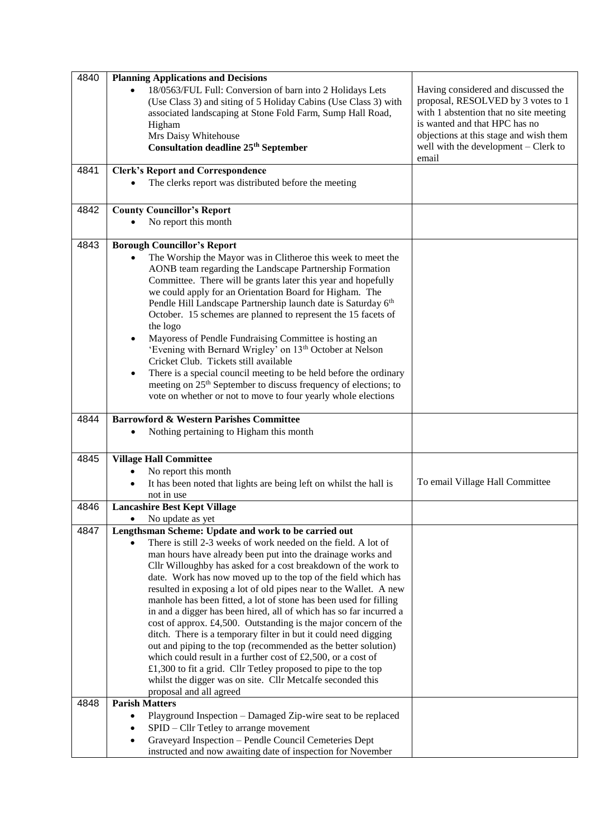| 4840 | <b>Planning Applications and Decisions</b>                                                                                              |                                               |
|------|-----------------------------------------------------------------------------------------------------------------------------------------|-----------------------------------------------|
|      | 18/0563/FUL Full: Conversion of barn into 2 Holidays Lets                                                                               | Having considered and discussed the           |
|      | (Use Class 3) and siting of 5 Holiday Cabins (Use Class 3) with                                                                         | proposal, RESOLVED by 3 votes to 1            |
|      | associated landscaping at Stone Fold Farm, Sump Hall Road,                                                                              | with 1 abstention that no site meeting        |
|      | Higham                                                                                                                                  | is wanted and that HPC has no                 |
|      | Mrs Daisy Whitehouse                                                                                                                    | objections at this stage and wish them        |
|      | <b>Consultation deadline 25th September</b>                                                                                             | well with the development – Clerk to<br>email |
| 4841 | <b>Clerk's Report and Correspondence</b>                                                                                                |                                               |
|      | The clerks report was distributed before the meeting                                                                                    |                                               |
|      |                                                                                                                                         |                                               |
| 4842 | <b>County Councillor's Report</b>                                                                                                       |                                               |
|      | No report this month                                                                                                                    |                                               |
|      |                                                                                                                                         |                                               |
| 4843 | <b>Borough Councillor's Report</b>                                                                                                      |                                               |
|      | The Worship the Mayor was in Clitheroe this week to meet the                                                                            |                                               |
|      | AONB team regarding the Landscape Partnership Formation                                                                                 |                                               |
|      | Committee. There will be grants later this year and hopefully                                                                           |                                               |
|      | we could apply for an Orientation Board for Higham. The                                                                                 |                                               |
|      | Pendle Hill Landscape Partnership launch date is Saturday 6th                                                                           |                                               |
|      | October. 15 schemes are planned to represent the 15 facets of                                                                           |                                               |
|      | the logo                                                                                                                                |                                               |
|      | Mayoress of Pendle Fundraising Committee is hosting an<br>'Evening with Bernard Wrigley' on 13 <sup>th</sup> October at Nelson          |                                               |
|      | Cricket Club. Tickets still available                                                                                                   |                                               |
|      | There is a special council meeting to be held before the ordinary<br>$\bullet$                                                          |                                               |
|      | meeting on 25 <sup>th</sup> September to discuss frequency of elections; to                                                             |                                               |
|      | vote on whether or not to move to four yearly whole elections                                                                           |                                               |
|      |                                                                                                                                         |                                               |
| 4844 | <b>Barrowford &amp; Western Parishes Committee</b>                                                                                      |                                               |
|      | Nothing pertaining to Higham this month                                                                                                 |                                               |
|      |                                                                                                                                         |                                               |
|      |                                                                                                                                         |                                               |
| 4845 | <b>Village Hall Committee</b>                                                                                                           |                                               |
|      | No report this month                                                                                                                    |                                               |
|      | It has been noted that lights are being left on whilst the hall is                                                                      | To email Village Hall Committee               |
|      | not in use                                                                                                                              |                                               |
| 4846 | <b>Lancashire Best Kept Village</b>                                                                                                     |                                               |
|      | No update as yet                                                                                                                        |                                               |
| 4847 | Lengthsman Scheme: Update and work to be carried out                                                                                    |                                               |
|      | There is still 2-3 weeks of work needed on the field. A lot of                                                                          |                                               |
|      | man hours have already been put into the drainage works and                                                                             |                                               |
|      | Cllr Willoughby has asked for a cost breakdown of the work to                                                                           |                                               |
|      | date. Work has now moved up to the top of the field which has                                                                           |                                               |
|      | resulted in exposing a lot of old pipes near to the Wallet. A new                                                                       |                                               |
|      | manhole has been fitted, a lot of stone has been used for filling<br>in and a digger has been hired, all of which has so far incurred a |                                               |
|      |                                                                                                                                         |                                               |
|      | cost of approx. £4,500. Outstanding is the major concern of the<br>ditch. There is a temporary filter in but it could need digging      |                                               |
|      | out and piping to the top (recommended as the better solution)                                                                          |                                               |
|      | which could result in a further cost of £2,500, or a cost of                                                                            |                                               |
|      | £1,300 to fit a grid. Cllr Tetley proposed to pipe to the top                                                                           |                                               |
|      | whilst the digger was on site. Cllr Metcalfe seconded this                                                                              |                                               |
|      | proposal and all agreed                                                                                                                 |                                               |
| 4848 | <b>Parish Matters</b>                                                                                                                   |                                               |
|      | Playground Inspection – Damaged Zip-wire seat to be replaced                                                                            |                                               |
|      | SPID – Cllr Tetley to arrange movement                                                                                                  |                                               |
|      | Graveyard Inspection - Pendle Council Cemeteries Dept<br>instructed and now awaiting date of inspection for November                    |                                               |